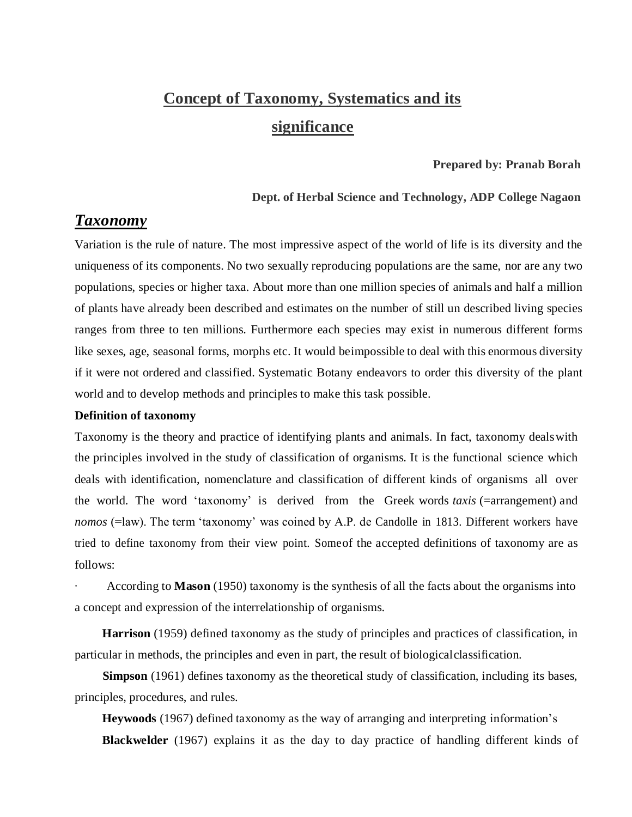# **Concept of Taxonomy, Systematics and its significance**

#### **Prepared by: Pranab Borah**

#### **Dept. of Herbal Science and Technology, ADP College Nagaon**

# *Taxonomy*

Variation is the rule of nature. The most impressive aspect of the world of life is its diversity and the uniqueness of its components. No two sexually reproducing populations are the same, nor are any two populations, species or higher taxa. About more than one million species of animals and half a million of plants have already been described and estimates on the number of still un described living species ranges from three to ten millions. Furthermore each species may exist in numerous different forms like sexes, age, seasonal forms, morphs etc. It would beimpossible to deal with this enormous diversity if it were not ordered and classified. Systematic Botany endeavors to order this diversity of the plant world and to develop methods and principles to make this task possible.

#### **Definition of taxonomy**

Taxonomy is the theory and practice of identifying plants and animals. In fact, taxonomy dealswith the principles involved in the study of classification of organisms. It is the functional science which deals with identification, nomenclature and classification of different kinds of organisms all over the world. The word 'taxonomy' is derived from the Greek words *taxis* (=arrangement) and *nomos* (=law). The term 'taxonomy' was coined by A.P. de Candolle in 1813. Different workers have tried to define taxonomy from their view point. Someof the accepted definitions of taxonomy are as follows:

· According to **Mason** (1950) taxonomy is the synthesis of all the facts about the organisms into a concept and expression of the interrelationship of organisms.

 **Harrison** (1959) defined taxonomy as the study of principles and practices of classification, in particular in methods, the principles and even in part, the result of biologicalclassification.

**Simpson** (1961) defines taxonomy as the theoretical study of classification, including its bases, principles, procedures, and rules.

 **Heywoods** (1967) defined taxonomy as the way of arranging and interpreting information's

 **Blackwelder** (1967) explains it as the day to day practice of handling different kinds of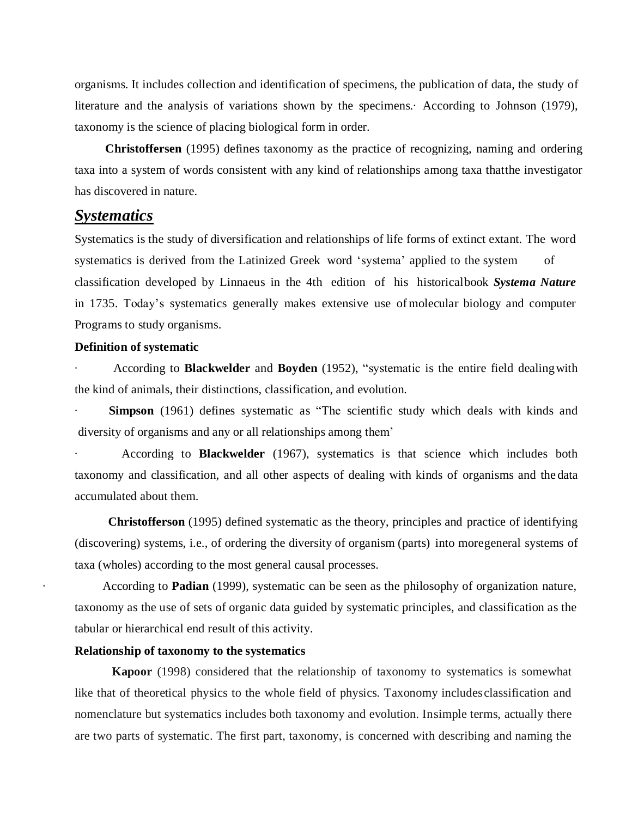organisms. It includes collection and identification of specimens, the publication of data, the study of literature and the analysis of variations shown by the specimens.· According to Johnson (1979), taxonomy is the science of placing biological form in order.

 **Christoffersen** (1995) defines taxonomy as the practice of recognizing, naming and ordering taxa into a system of words consistent with any kind of relationships among taxa thatthe investigator has discovered in nature.

# *Systematics*

Systematics is the study of diversification and relationships of life forms of extinct extant. The word systematics is derived from the Latinized Greek word 'systema' applied to the system of classification developed by Linnaeus in the 4th edition of his historicalbook *Systema Nature* in 1735. Today's systematics generally makes extensive use ofmolecular biology and computer Programs to study organisms.

#### **Definition of systematic**

· According to **Blackwelder** and **Boyden** (1952), "systematic is the entire field dealingwith the kind of animals, their distinctions, classification, and evolution.

**Simpson** (1961) defines systematic as "The scientific study which deals with kinds and diversity of organisms and any or all relationships among them'

· According to **Blackwelder** (1967), systematics is that science which includes both taxonomy and classification, and all other aspects of dealing with kinds of organisms and the data accumulated about them.

 **Christofferson** (1995) defined systematic as the theory, principles and practice of identifying (discovering) systems, i.e., of ordering the diversity of organism (parts) into moregeneral systems of taxa (wholes) according to the most general causal processes.

· According to **Padian** (1999), systematic can be seen as the philosophy of organization nature, taxonomy as the use of sets of organic data guided by systematic principles, and classification as the tabular or hierarchical end result of this activity.

#### **Relationship of taxonomy to the systematics**

**Kapoor** (1998) considered that the relationship of taxonomy to systematics is somewhat like that of theoretical physics to the whole field of physics. Taxonomy includesclassification and nomenclature but systematics includes both taxonomy and evolution. Insimple terms, actually there are two parts of systematic. The first part, taxonomy, is concerned with describing and naming the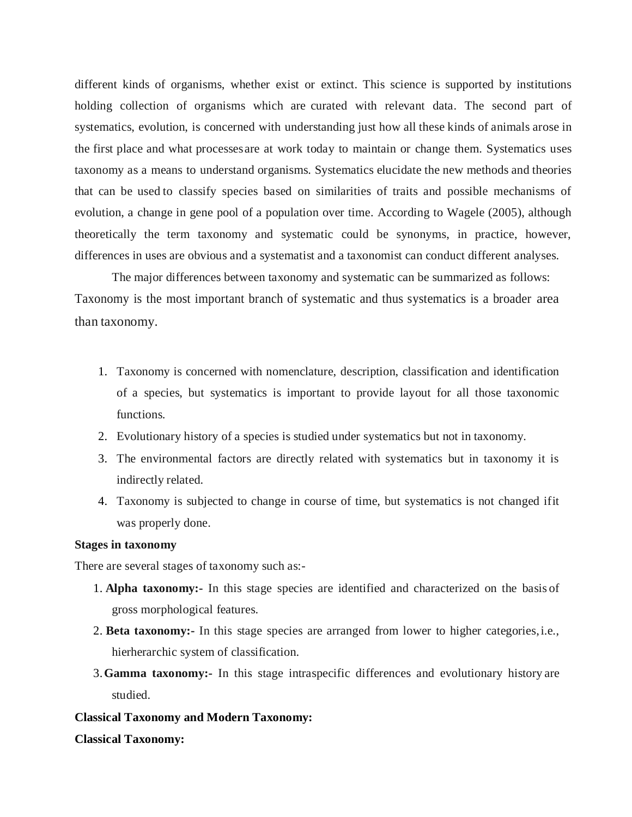different kinds of organisms, whether exist or extinct. This science is supported by institutions holding collection of organisms which are curated with relevant data. The second part of systematics, evolution, is concerned with understanding just how all these kinds of animals arose in the first place and what processesare at work today to maintain or change them. Systematics uses taxonomy as a means to understand organisms. Systematics elucidate the new methods and theories that can be used to classify species based on similarities of traits and possible mechanisms of evolution, a change in gene pool of a population over time. According to Wagele (2005), although theoretically the term taxonomy and systematic could be synonyms, in practice, however, differences in uses are obvious and a systematist and a taxonomist can conduct different analyses.

The major differences between taxonomy and systematic can be summarized as follows: Taxonomy is the most important branch of systematic and thus systematics is a broader area than taxonomy.

- 1. Taxonomy is concerned with nomenclature, description, classification and identification of a species, but systematics is important to provide layout for all those taxonomic functions.
- 2. Evolutionary history of a species is studied under systematics but not in taxonomy.
- 3. The environmental factors are directly related with systematics but in taxonomy it is indirectly related.
- 4. Taxonomy is subjected to change in course of time, but systematics is not changed ifit was properly done.

## **Stages in taxonomy**

There are several stages of taxonomy such as:-

- 1. **Alpha taxonomy:-** In this stage species are identified and characterized on the basis of gross morphological features.
- 2. **Beta taxonomy:-** In this stage species are arranged from lower to higher categories,i.e., hierherarchic system of classification.
- 3.**Gamma taxonomy:-** In this stage intraspecific differences and evolutionary history are studied.

## **Classical Taxonomy and Modern Taxonomy:**

#### **Classical Taxonomy:**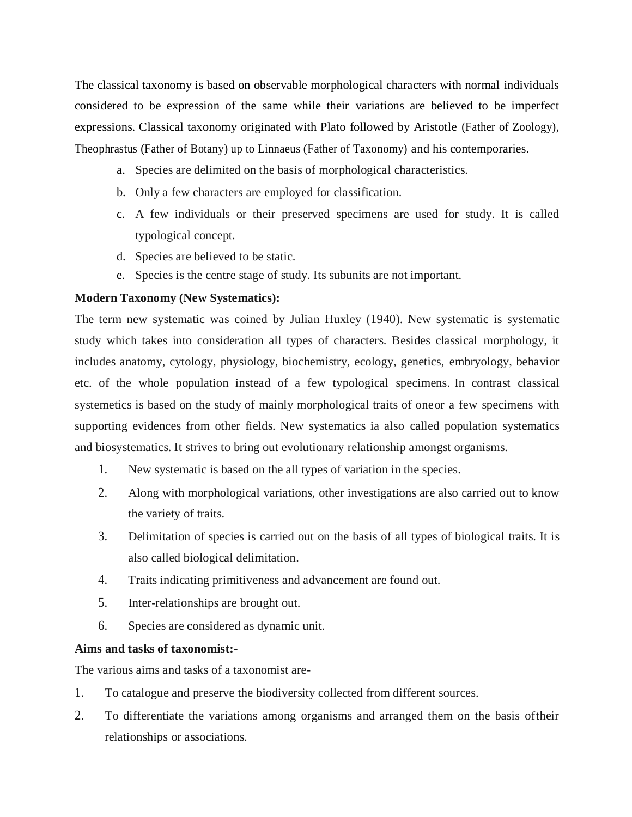The classical taxonomy is based on observable morphological characters with normal individuals considered to be expression of the same while their variations are believed to be imperfect expressions. Classical taxonomy originated with Plato followed by Aristotle (Father of Zoology), Theophrastus (Father of Botany) up to Linnaeus (Father of Taxonomy) and his contemporaries.

- a. Species are delimited on the basis of morphological characteristics.
- b. Only a few characters are employed for classification.
- c. A few individuals or their preserved specimens are used for study. It is called typological concept.
- d. Species are believed to be static.
- e. Species is the centre stage of study. Its subunits are not important.

# **Modern Taxonomy (New Systematics):**

The term new systematic was coined by Julian Huxley (1940). New systematic is systematic study which takes into consideration all types of characters. Besides classical morphology, it includes anatomy, cytology, physiology, biochemistry, ecology, genetics, embryology, behavior etc. of the whole population instead of a few typological specimens. In contrast classical systemetics is based on the study of mainly morphological traits of oneor a few specimens with supporting evidences from other fields. New systematics ia also called population systematics and biosystematics. It strives to bring out evolutionary relationship amongst organisms.

- 1. New systematic is based on the all types of variation in the species.
- 2. Along with morphological variations, other investigations are also carried out to know the variety of traits.
- 3. Delimitation of species is carried out on the basis of all types of biological traits. It is also called biological delimitation.
- 4. Traits indicating primitiveness and advancement are found out.
- 5. Inter-relationships are brought out.
- 6. Species are considered as dynamic unit.

# **Aims and tasks of taxonomist:-**

The various aims and tasks of a taxonomist are-

- 1. To catalogue and preserve the biodiversity collected from different sources.
- 2. To differentiate the variations among organisms and arranged them on the basis oftheir relationships or associations.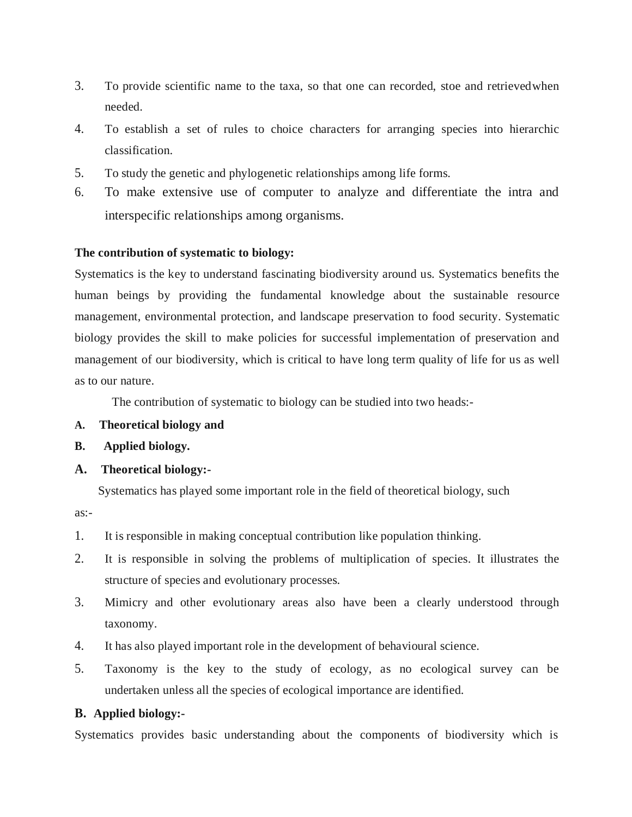- 3. To provide scientific name to the taxa, so that one can recorded, stoe and retrievedwhen needed.
- 4. To establish a set of rules to choice characters for arranging species into hierarchic classification.
- 5. To study the genetic and phylogenetic relationships among life forms.
- 6. To make extensive use of computer to analyze and differentiate the intra and interspecific relationships among organisms.

## **The contribution of systematic to biology:**

Systematics is the key to understand fascinating biodiversity around us. Systematics benefits the human beings by providing the fundamental knowledge about the sustainable resource management, environmental protection, and landscape preservation to food security. Systematic biology provides the skill to make policies for successful implementation of preservation and management of our biodiversity, which is critical to have long term quality of life for us as well as to our nature.

The contribution of systematic to biology can be studied into two heads:-

- **A. Theoretical biology and**
- **B. Applied biology.**

# **A. Theoretical biology:-**

Systematics has played some important role in the field of theoretical biology, such

as:-

- 1. It is responsible in making conceptual contribution like population thinking.
- 2. It is responsible in solving the problems of multiplication of species. It illustrates the structure of species and evolutionary processes.
- 3. Mimicry and other evolutionary areas also have been a clearly understood through taxonomy.
- 4. It has also played important role in the development of behavioural science.
- 5. Taxonomy is the key to the study of ecology, as no ecological survey can be undertaken unless all the species of ecological importance are identified.

# **B. Applied biology:-**

Systematics provides basic understanding about the components of biodiversity which is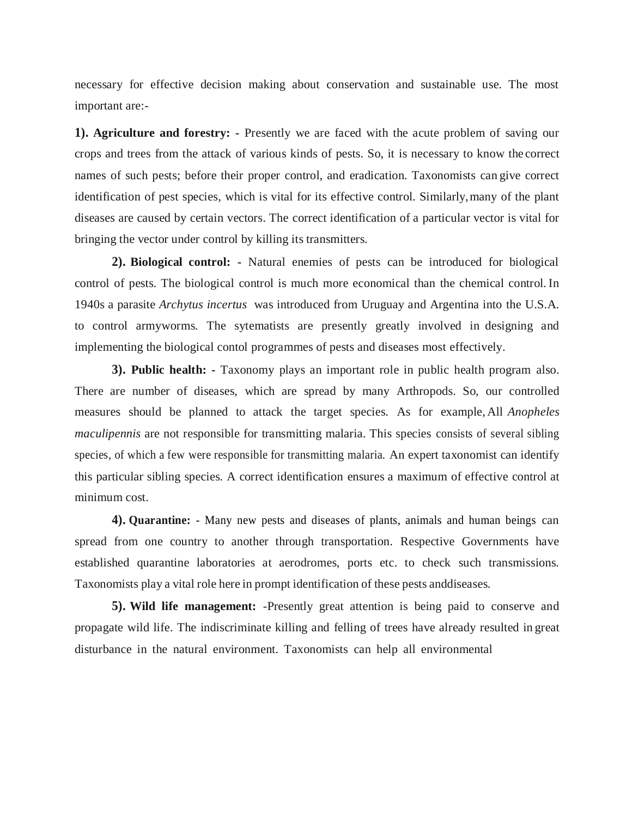necessary for effective decision making about conservation and sustainable use. The most important are:-

**1). Agriculture and forestry: -** Presently we are faced with the acute problem of saving our crops and trees from the attack of various kinds of pests. So, it is necessary to know the correct names of such pests; before their proper control, and eradication. Taxonomists can give correct identification of pest species, which is vital for its effective control. Similarly,many of the plant diseases are caused by certain vectors. The correct identification of a particular vector is vital for bringing the vector under control by killing its transmitters.

**2). Biological control: -** Natural enemies of pests can be introduced for biological control of pests. The biological control is much more economical than the chemical control. In 1940s a parasite *Archytus incertus* was introduced from Uruguay and Argentina into the U.S.A. to control armyworms. The sytematists are presently greatly involved in designing and implementing the biological contol programmes of pests and diseases most effectively.

**3). Public health: -** Taxonomy plays an important role in public health program also. There are number of diseases, which are spread by many Arthropods. So, our controlled measures should be planned to attack the target species. As for example, All *Anopheles maculipennis* are not responsible for transmitting malaria. This species consists of several sibling species, of which a few were responsible for transmitting malaria. An expert taxonomist can identify this particular sibling species. A correct identification ensures a maximum of effective control at minimum cost.

**4). Quarantine: -** Many new pests and diseases of plants, animals and human beings can spread from one country to another through transportation. Respective Governments have established quarantine laboratories at aerodromes, ports etc. to check such transmissions. Taxonomists play a vital role here in prompt identification of these pests anddiseases.

**5). Wild life management:** -Presently great attention is being paid to conserve and propagate wild life. The indiscriminate killing and felling of trees have already resulted in great disturbance in the natural environment. Taxonomists can help all environmental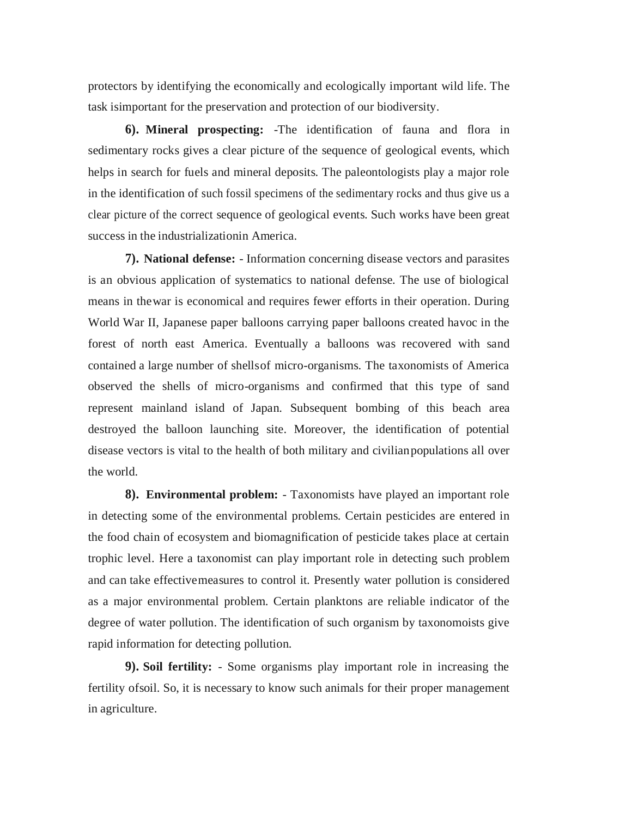protectors by identifying the economically and ecologically important wild life. The task isimportant for the preservation and protection of our biodiversity.

**6). Mineral prospecting:** -The identification of fauna and flora in sedimentary rocks gives a clear picture of the sequence of geological events, which helps in search for fuels and mineral deposits. The paleontologists play a major role in the identification of such fossil specimens of the sedimentary rocks and thus give us a clear picture of the correct sequence of geological events. Such works have been great success in the industrializationin America.

**7). National defense:** - Information concerning disease vectors and parasites is an obvious application of systematics to national defense. The use of biological means in thewar is economical and requires fewer efforts in their operation. During World War II, Japanese paper balloons carrying paper balloons created havoc in the forest of north east America. Eventually a balloons was recovered with sand contained a large number of shellsof micro-organisms. The taxonomists of America observed the shells of micro-organisms and confirmed that this type of sand represent mainland island of Japan. Subsequent bombing of this beach area destroyed the balloon launching site. Moreover, the identification of potential disease vectors is vital to the health of both military and civilianpopulations all over the world.

**8). Environmental problem:** - Taxonomists have played an important role in detecting some of the environmental problems. Certain pesticides are entered in the food chain of ecosystem and biomagnification of pesticide takes place at certain trophic level. Here a taxonomist can play important role in detecting such problem and can take effectivemeasures to control it. Presently water pollution is considered as a major environmental problem. Certain planktons are reliable indicator of the degree of water pollution. The identification of such organism by taxonomoists give rapid information for detecting pollution.

**9). Soil fertility:** - Some organisms play important role in increasing the fertility ofsoil. So, it is necessary to know such animals for their proper management in agriculture.